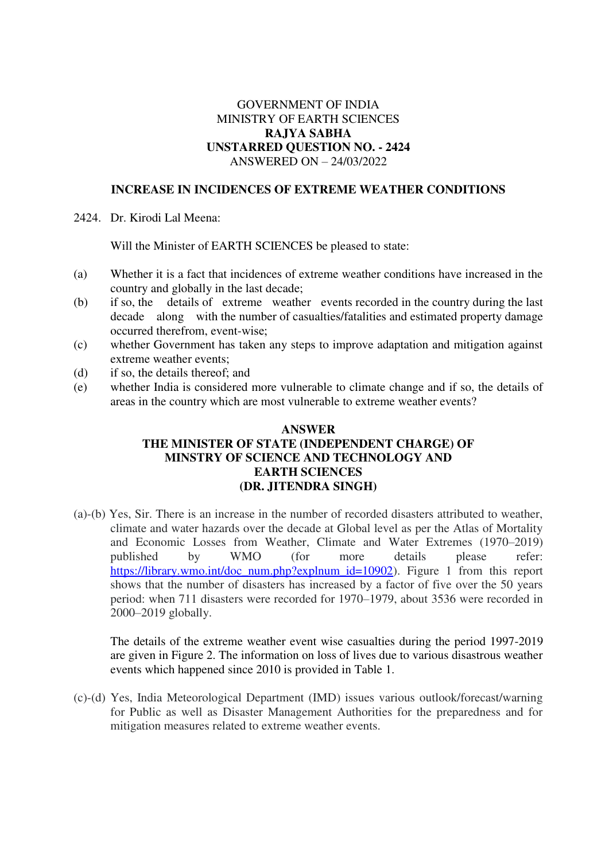# GOVERNMENT OF INDIA MINISTRY OF EARTH SCIENCES **RAJYA SABHA UNSTARRED QUESTION NO. - 2424**  ANSWERED ON – 24/03/2022

## **INCREASE IN INCIDENCES OF EXTREME WEATHER CONDITIONS**

2424. Dr. Kirodi Lal Meena:

Will the Minister of EARTH SCIENCES be pleased to state:

- (a) Whether it is a fact that incidences of extreme weather conditions have increased in the country and globally in the last decade;
- (b) if so, the details of extreme weather events recorded in the country during the last decade along with the number of casualties/fatalities and estimated property damage occurred therefrom, event-wise;
- (c) whether Government has taken any steps to improve adaptation and mitigation against extreme weather events;
- (d) if so, the details thereof; and
- (e) whether India is considered more vulnerable to climate change and if so, the details of areas in the country which are most vulnerable to extreme weather events?

## **ANSWER THE MINISTER OF STATE (INDEPENDENT CHARGE) OF MINSTRY OF SCIENCE AND TECHNOLOGY AND EARTH SCIENCES (DR. JITENDRA SINGH)**

(a)-(b) Yes, Sir. There is an increase in the number of recorded disasters attributed to weather, climate and water hazards over the decade at Global level as per the Atlas of Mortality and Economic Losses from Weather, Climate and Water Extremes (1970–2019) published by WMO (for more details please refer: [https://library.wmo.int/doc\\_num.php?explnum\\_id=10902\)](https://library.wmo.int/doc_num.php?explnum_id=10902). Figure 1 from this report shows that the number of disasters has increased by a factor of five over the 50 years period: when 711 disasters were recorded for 1970–1979, about 3536 were recorded in 2000–2019 globally.

 The details of the extreme weather event wise casualties during the period 1997-2019 are given in Figure 2. The information on loss of lives due to various disastrous weather events which happened since 2010 is provided in Table 1.

(c)-(d) Yes, India Meteorological Department (IMD) issues various outlook/forecast/warning for Public as well as Disaster Management Authorities for the preparedness and for mitigation measures related to extreme weather events.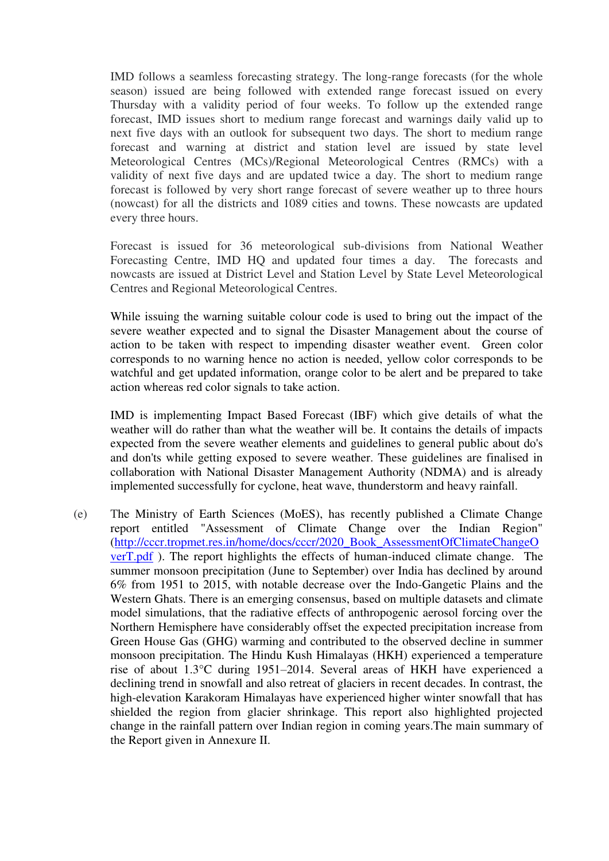IMD follows a seamless forecasting strategy. The long-range forecasts (for the whole season) issued are being followed with extended range forecast issued on every Thursday with a validity period of four weeks. To follow up the extended range forecast, IMD issues short to medium range forecast and warnings daily valid up to next five days with an outlook for subsequent two days. The short to medium range forecast and warning at district and station level are issued by state level Meteorological Centres (MCs)/Regional Meteorological Centres (RMCs) with a validity of next five days and are updated twice a day. The short to medium range forecast is followed by very short range forecast of severe weather up to three hours (nowcast) for all the districts and 1089 cities and towns. These nowcasts are updated every three hours.

Forecast is issued for 36 meteorological sub-divisions from National Weather Forecasting Centre, IMD HQ and updated four times a day. The forecasts and nowcasts are issued at District Level and Station Level by State Level Meteorological Centres and Regional Meteorological Centres.

While issuing the warning suitable colour code is used to bring out the impact of the severe weather expected and to signal the Disaster Management about the course of action to be taken with respect to impending disaster weather event. Green color corresponds to no warning hence no action is needed, yellow color corresponds to be watchful and get updated information, orange color to be alert and be prepared to take action whereas red color signals to take action.

IMD is implementing Impact Based Forecast (IBF) which give details of what the weather will do rather than what the weather will be. It contains the details of impacts expected from the severe weather elements and guidelines to general public about do's and don'ts while getting exposed to severe weather. These guidelines are finalised in collaboration with National Disaster Management Authority (NDMA) and is already implemented successfully for cyclone, heat wave, thunderstorm and heavy rainfall.

(e) The Ministry of Earth Sciences (MoES), has recently published a Climate Change report entitled "Assessment of Climate Change over the Indian Region" [\(http://cccr.tropmet.res.in/home/docs/cccr/2020\\_Book\\_AssessmentOfClimateChangeO](http://cccr.tropmet.res.in/home/docs/cccr/2020_Book_AssessmentOfClimateChangeOverT.pdf) [verT.pdf](http://cccr.tropmet.res.in/home/docs/cccr/2020_Book_AssessmentOfClimateChangeOverT.pdf) ). The report highlights the effects of human-induced climate change. The summer monsoon precipitation (June to September) over India has declined by around 6% from 1951 to 2015, with notable decrease over the Indo-Gangetic Plains and the Western Ghats. There is an emerging consensus, based on multiple datasets and climate model simulations, that the radiative effects of anthropogenic aerosol forcing over the Northern Hemisphere have considerably offset the expected precipitation increase from Green House Gas (GHG) warming and contributed to the observed decline in summer monsoon precipitation. The Hindu Kush Himalayas (HKH) experienced a temperature rise of about 1.3°C during 1951–2014. Several areas of HKH have experienced a declining trend in snowfall and also retreat of glaciers in recent decades. In contrast, the high-elevation Karakoram Himalayas have experienced higher winter snowfall that has shielded the region from glacier shrinkage. This report also highlighted projected change in the rainfall pattern over Indian region in coming years.The main summary of the Report given in Annexure II.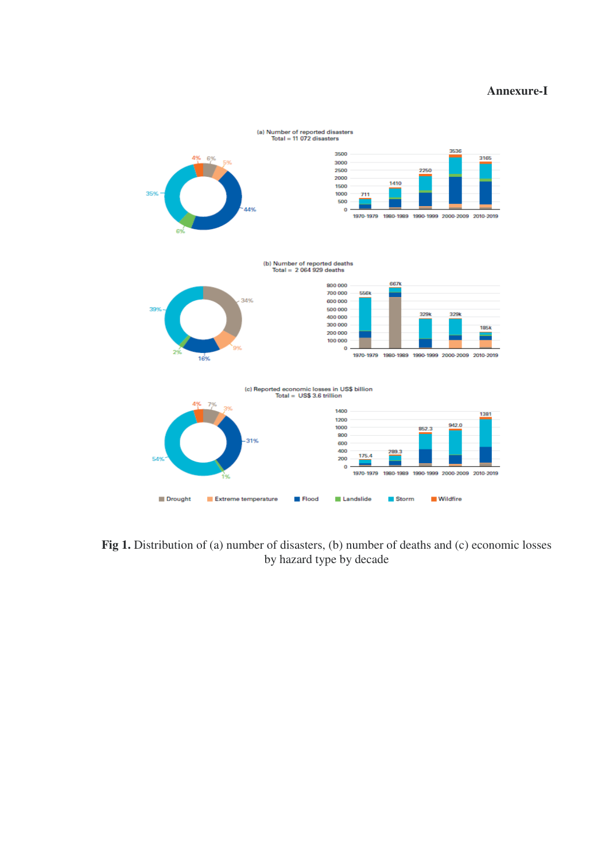# **Annexure-I**



Fig 1. Distribution of (a) number of disasters, (b) number of deaths and (c) economic losses by hazard type by decade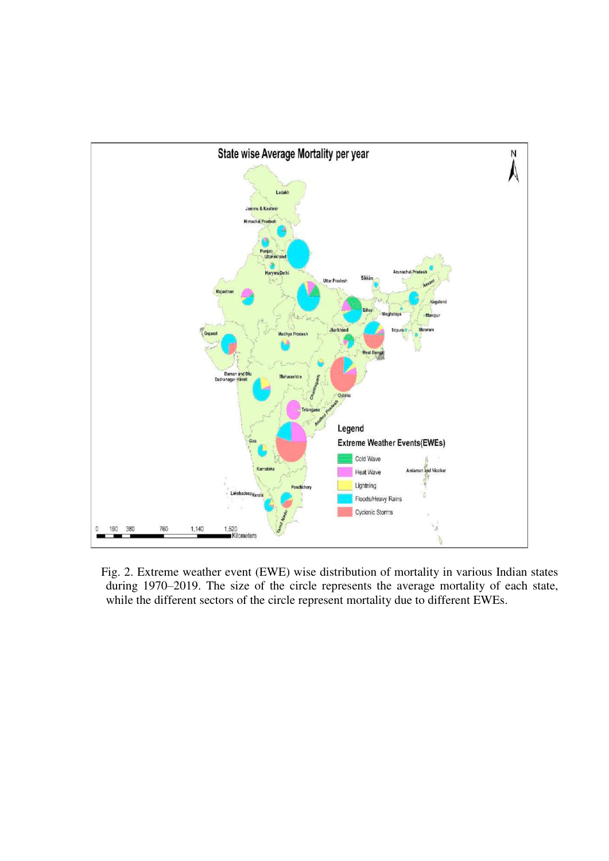

 Fig. 2. Extreme weather event (EWE) wise distribution of mortality in various Indian states during 1970–2019. The size of the circle represents the average mortality of each state, while the different sectors of the circle represent mortality due to different EWEs.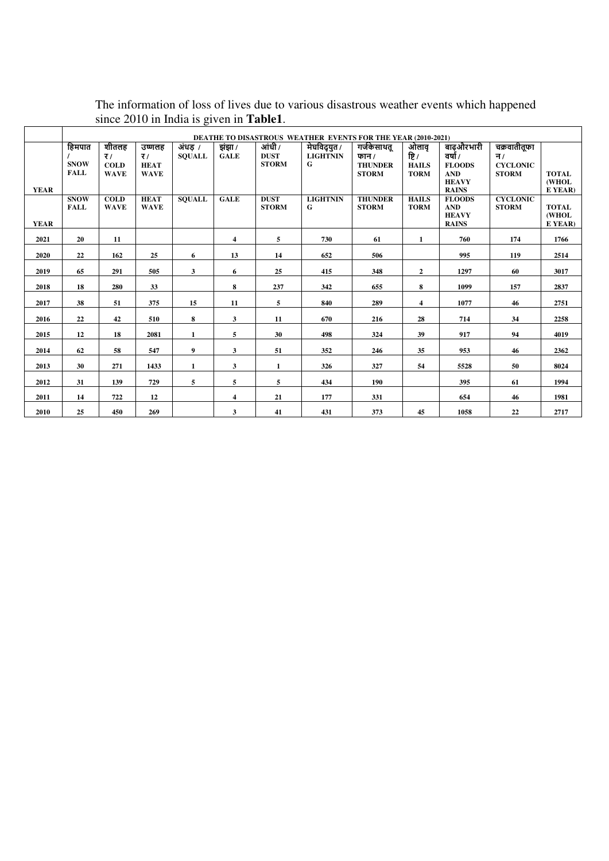|             | <b>DEATHE TO DISASTROUS WEATHER EVENTS FOR THE YEAR (2010-2021)</b> |                                 |                                 |               |             |                             |                      |                         |                        |                          |                        |              |
|-------------|---------------------------------------------------------------------|---------------------------------|---------------------------------|---------------|-------------|-----------------------------|----------------------|-------------------------|------------------------|--------------------------|------------------------|--------------|
|             | हिमपात                                                              | शीतलह                           | उष्णलह                          | अंधड /        | झंझा /      | आंधी /                      | मेघविद्युत /         | गर्जकेसाथतू             | ओलावृ                  | बाढ़औरभारी               | चक्रवातीतूफा           |              |
|             | <b>SNOW</b>                                                         | $\overline{z}$ /<br><b>COLD</b> | $\overline{z}$ /<br><b>HEAT</b> | <b>SQUALL</b> | <b>GALE</b> | <b>DUST</b><br><b>STORM</b> | <b>LIGHTNIN</b><br>G | फान /<br><b>THUNDER</b> | ष्टि /<br><b>HAILS</b> | वर्षा /<br><b>FLOODS</b> | न /<br><b>CYCLONIC</b> |              |
|             | <b>FALL</b>                                                         | <b>WAVE</b>                     | <b>WAVE</b>                     |               |             |                             |                      | <b>STORM</b>            | <b>TORM</b>            | <b>AND</b>               | <b>STORM</b>           | <b>TOTAL</b> |
|             |                                                                     |                                 |                                 |               |             |                             |                      |                         |                        | <b>HEAVY</b>             |                        | <b>(WHOL</b> |
| <b>YEAR</b> |                                                                     |                                 |                                 |               |             |                             |                      |                         |                        | <b>RAINS</b>             |                        | E YEAR)      |
|             | <b>SNOW</b>                                                         | <b>COLD</b>                     | <b>HEAT</b>                     | <b>SQUALL</b> | <b>GALE</b> | <b>DUST</b>                 | <b>LIGHTNIN</b>      | <b>THUNDER</b>          | <b>HAILS</b>           | <b>FLOODS</b>            | <b>CYCLONIC</b>        |              |
|             | <b>FALL</b>                                                         | <b>WAVE</b>                     | <b>WAVE</b>                     |               |             | <b>STORM</b>                | G                    | <b>STORM</b>            | <b>TORM</b>            | <b>AND</b>               | <b>STORM</b>           | <b>TOTAL</b> |
|             |                                                                     |                                 |                                 |               |             |                             |                      |                         |                        | <b>HEAVY</b>             |                        | (WHOL        |
| <b>YEAR</b> |                                                                     |                                 |                                 |               |             |                             |                      |                         |                        | <b>RAINS</b>             |                        | E YEAR)      |
| 2021        | 20                                                                  | 11                              |                                 |               | 4           | 5                           | 730                  | 61                      | $\mathbf{1}$           | 760                      | 174                    | 1766         |
| 2020        | 22                                                                  | 162                             | 25                              | 6             | 13          | 14                          | 652                  | 506                     |                        | 995                      | 119                    | 2514         |
|             |                                                                     |                                 |                                 |               |             |                             |                      |                         |                        |                          |                        |              |
| 2019        | 65                                                                  | 291                             | 505                             | 3             | 6           | 25                          | 415                  | 348                     | $\overline{2}$         | 1297                     | 60                     | 3017         |
| 2018        | 18                                                                  | 280                             | 33                              |               | 8           | 237                         | 342                  | 655                     | 8                      | 1099                     | 157                    | 2837         |
| 2017        | 38                                                                  | 51                              | 375                             | 15            | 11          | 5                           | 840                  | 289                     | 4                      | 1077                     | 46                     | 2751         |
| 2016        | 22                                                                  | 42                              | 510                             | 8             | 3           | 11                          | 670                  | 216                     | 28                     | 714                      | 34                     | 2258         |
|             |                                                                     |                                 |                                 |               |             |                             |                      |                         |                        |                          |                        |              |
| 2015        | 12                                                                  | 18                              | 2081                            | 1             | 5           | 30                          | 498                  | 324                     | 39                     | 917                      | 94                     | 4019         |
| 2014        | 62                                                                  | 58                              | 547                             | 9             | 3           | 51                          | 352                  | 246                     | 35                     | 953                      | 46                     | 2362         |
| 2013        | 30                                                                  | 271                             | 1433                            | 1             | 3           | $\mathbf{1}$                | 326                  | 327                     | 54                     | 5528                     | 50                     | 8024         |
|             |                                                                     |                                 |                                 |               |             |                             |                      |                         |                        |                          |                        |              |
| 2012        | 31                                                                  | 139                             | 729                             | 5             | 5           | 5                           | 434                  | 190                     |                        | 395                      | 61                     | 1994         |
| 2011        | 14                                                                  | 722                             | 12                              |               | 4           | 21                          | 177                  | 331                     |                        | 654                      | 46                     | 1981         |
| 2010        | 25                                                                  | 450                             | 269                             |               | 3           | 41                          | 431                  | 373                     | 45                     | 1058                     | 22                     | 2717         |

The information of loss of lives due to various disastrous weather events which happened since 2010 in India is given in **Table1**.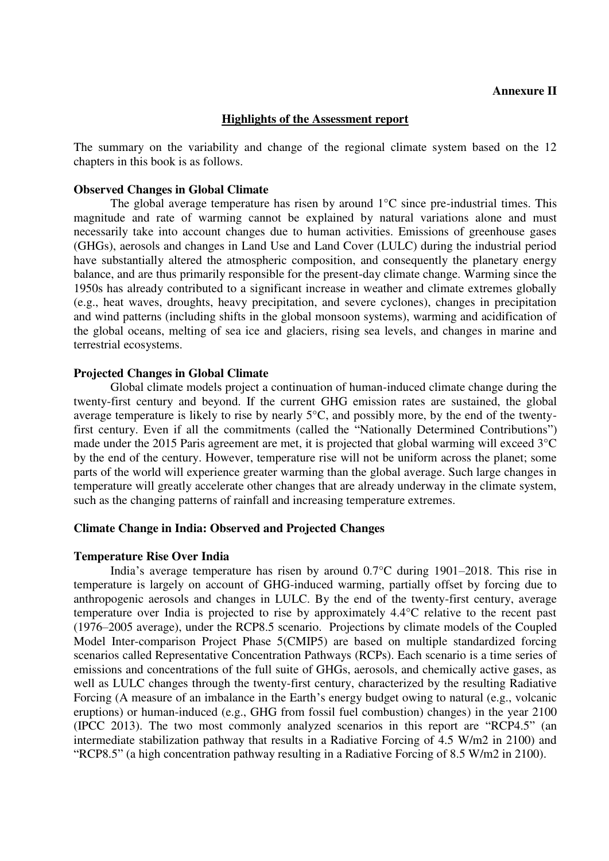## **Annexure II**

### **Highlights of the Assessment report**

The summary on the variability and change of the regional climate system based on the 12 chapters in this book is as follows.

#### **Observed Changes in Global Climate**

The global average temperature has risen by around  $1^{\circ}$ C since pre-industrial times. This magnitude and rate of warming cannot be explained by natural variations alone and must necessarily take into account changes due to human activities. Emissions of greenhouse gases (GHGs), aerosols and changes in Land Use and Land Cover (LULC) during the industrial period have substantially altered the atmospheric composition, and consequently the planetary energy balance, and are thus primarily responsible for the present-day climate change. Warming since the 1950s has already contributed to a significant increase in weather and climate extremes globally (e.g., heat waves, droughts, heavy precipitation, and severe cyclones), changes in precipitation and wind patterns (including shifts in the global monsoon systems), warming and acidification of the global oceans, melting of sea ice and glaciers, rising sea levels, and changes in marine and terrestrial ecosystems.

#### **Projected Changes in Global Climate**

Global climate models project a continuation of human-induced climate change during the twenty-first century and beyond. If the current GHG emission rates are sustained, the global average temperature is likely to rise by nearly 5°C, and possibly more, by the end of the twentyfirst century. Even if all the commitments (called the "Nationally Determined Contributions") made under the 2015 Paris agreement are met, it is projected that global warming will exceed 3°C by the end of the century. However, temperature rise will not be uniform across the planet; some parts of the world will experience greater warming than the global average. Such large changes in temperature will greatly accelerate other changes that are already underway in the climate system, such as the changing patterns of rainfall and increasing temperature extremes.

#### **Climate Change in India: Observed and Projected Changes**

#### **Temperature Rise Over India**

India's average temperature has risen by around 0.7°C during 1901–2018. This rise in temperature is largely on account of GHG-induced warming, partially offset by forcing due to anthropogenic aerosols and changes in LULC. By the end of the twenty-first century, average temperature over India is projected to rise by approximately 4.4°C relative to the recent past (1976–2005 average), under the RCP8.5 scenario. Projections by climate models of the Coupled Model Inter-comparison Project Phase 5(CMIP5) are based on multiple standardized forcing scenarios called Representative Concentration Pathways (RCPs). Each scenario is a time series of emissions and concentrations of the full suite of GHGs, aerosols, and chemically active gases, as well as LULC changes through the twenty-first century, characterized by the resulting Radiative Forcing (A measure of an imbalance in the Earth's energy budget owing to natural (e.g., volcanic eruptions) or human-induced (e.g., GHG from fossil fuel combustion) changes) in the year 2100 (IPCC 2013). The two most commonly analyzed scenarios in this report are "RCP4.5" (an intermediate stabilization pathway that results in a Radiative Forcing of 4.5 W/m2 in 2100) and "RCP8.5" (a high concentration pathway resulting in a Radiative Forcing of 8.5 W/m2 in 2100).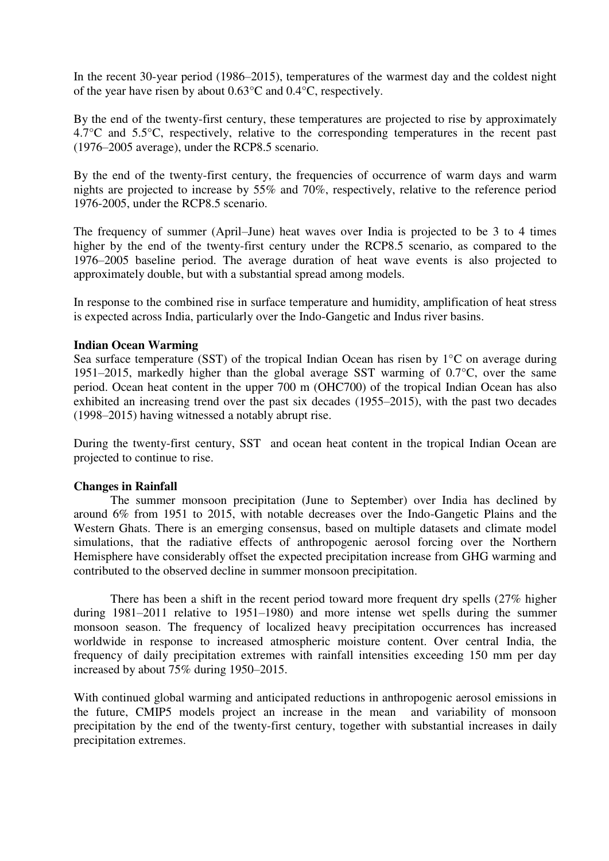In the recent 30-year period (1986–2015), temperatures of the warmest day and the coldest night of the year have risen by about 0.63°C and 0.4°C, respectively.

By the end of the twenty-first century, these temperatures are projected to rise by approximately 4.7°C and 5.5°C, respectively, relative to the corresponding temperatures in the recent past (1976–2005 average), under the RCP8.5 scenario.

By the end of the twenty-first century, the frequencies of occurrence of warm days and warm nights are projected to increase by 55% and 70%, respectively, relative to the reference period 1976-2005, under the RCP8.5 scenario.

The frequency of summer (April–June) heat waves over India is projected to be 3 to 4 times higher by the end of the twenty-first century under the RCP8.5 scenario, as compared to the 1976–2005 baseline period. The average duration of heat wave events is also projected to approximately double, but with a substantial spread among models.

In response to the combined rise in surface temperature and humidity, amplification of heat stress is expected across India, particularly over the Indo-Gangetic and Indus river basins.

## **Indian Ocean Warming**

Sea surface temperature (SST) of the tropical Indian Ocean has risen by 1°C on average during 1951–2015, markedly higher than the global average SST warming of 0.7°C, over the same period. Ocean heat content in the upper 700 m (OHC700) of the tropical Indian Ocean has also exhibited an increasing trend over the past six decades (1955–2015), with the past two decades (1998–2015) having witnessed a notably abrupt rise.

During the twenty-first century, SST and ocean heat content in the tropical Indian Ocean are projected to continue to rise.

### **Changes in Rainfall**

The summer monsoon precipitation (June to September) over India has declined by around 6% from 1951 to 2015, with notable decreases over the Indo-Gangetic Plains and the Western Ghats. There is an emerging consensus, based on multiple datasets and climate model simulations, that the radiative effects of anthropogenic aerosol forcing over the Northern Hemisphere have considerably offset the expected precipitation increase from GHG warming and contributed to the observed decline in summer monsoon precipitation.

There has been a shift in the recent period toward more frequent dry spells (27% higher during 1981–2011 relative to 1951–1980) and more intense wet spells during the summer monsoon season. The frequency of localized heavy precipitation occurrences has increased worldwide in response to increased atmospheric moisture content. Over central India, the frequency of daily precipitation extremes with rainfall intensities exceeding 150 mm per day increased by about 75% during 1950–2015.

With continued global warming and anticipated reductions in anthropogenic aerosol emissions in the future, CMIP5 models project an increase in the mean and variability of monsoon precipitation by the end of the twenty-first century, together with substantial increases in daily precipitation extremes.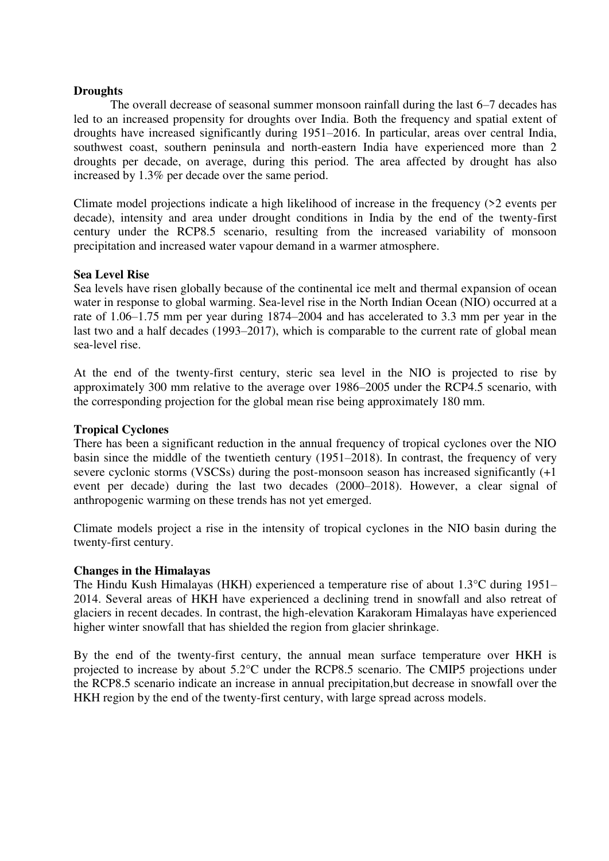## **Droughts**

The overall decrease of seasonal summer monsoon rainfall during the last 6–7 decades has led to an increased propensity for droughts over India. Both the frequency and spatial extent of droughts have increased significantly during 1951–2016. In particular, areas over central India, southwest coast, southern peninsula and north-eastern India have experienced more than 2 droughts per decade, on average, during this period. The area affected by drought has also increased by 1.3% per decade over the same period.

Climate model projections indicate a high likelihood of increase in the frequency (>2 events per decade), intensity and area under drought conditions in India by the end of the twenty-first century under the RCP8.5 scenario, resulting from the increased variability of monsoon precipitation and increased water vapour demand in a warmer atmosphere.

### **Sea Level Rise**

Sea levels have risen globally because of the continental ice melt and thermal expansion of ocean water in response to global warming. Sea-level rise in the North Indian Ocean (NIO) occurred at a rate of 1.06–1.75 mm per year during 1874–2004 and has accelerated to 3.3 mm per year in the last two and a half decades (1993–2017), which is comparable to the current rate of global mean sea-level rise.

At the end of the twenty-first century, steric sea level in the NIO is projected to rise by approximately 300 mm relative to the average over 1986–2005 under the RCP4.5 scenario, with the corresponding projection for the global mean rise being approximately 180 mm.

### **Tropical Cyclones**

There has been a significant reduction in the annual frequency of tropical cyclones over the NIO basin since the middle of the twentieth century (1951–2018). In contrast, the frequency of very severe cyclonic storms (VSCSs) during the post-monsoon season has increased significantly (+1 event per decade) during the last two decades (2000–2018). However, a clear signal of anthropogenic warming on these trends has not yet emerged.

Climate models project a rise in the intensity of tropical cyclones in the NIO basin during the twenty-first century.

## **Changes in the Himalayas**

The Hindu Kush Himalayas (HKH) experienced a temperature rise of about 1.3°C during 1951– 2014. Several areas of HKH have experienced a declining trend in snowfall and also retreat of glaciers in recent decades. In contrast, the high-elevation Karakoram Himalayas have experienced higher winter snowfall that has shielded the region from glacier shrinkage.

By the end of the twenty-first century, the annual mean surface temperature over HKH is projected to increase by about 5.2°C under the RCP8.5 scenario. The CMIP5 projections under the RCP8.5 scenario indicate an increase in annual precipitation,but decrease in snowfall over the HKH region by the end of the twenty-first century, with large spread across models.